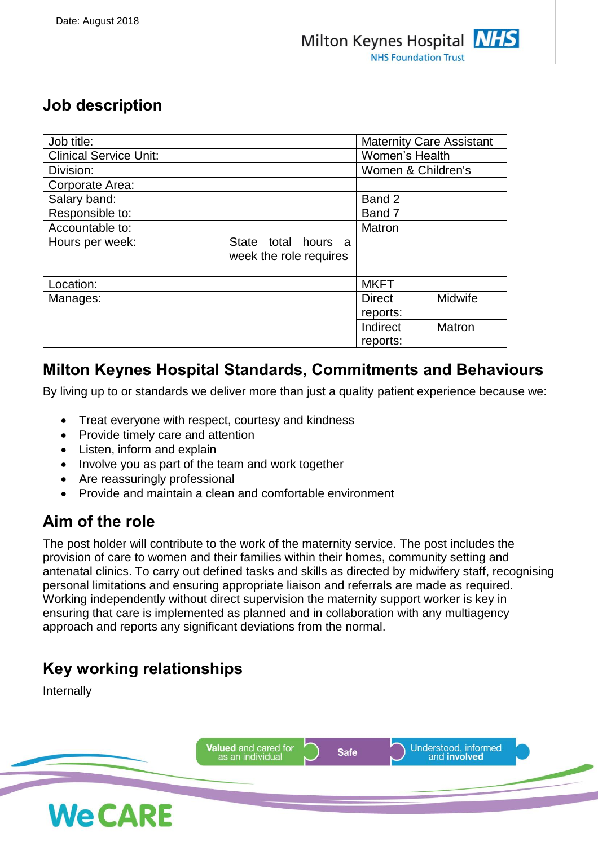## **Job description**

| Job title:                    |                                                  | <b>Maternity Care Assistant</b> |         |
|-------------------------------|--------------------------------------------------|---------------------------------|---------|
| <b>Clinical Service Unit:</b> |                                                  | Women's Health                  |         |
| Division:                     |                                                  | Women & Children's              |         |
| Corporate Area:               |                                                  |                                 |         |
| Salary band:                  |                                                  | Band 2                          |         |
| Responsible to:               |                                                  | Band 7                          |         |
| Accountable to:               |                                                  | Matron                          |         |
| Hours per week:               | total hours a<br>State<br>week the role requires |                                 |         |
| Location:                     |                                                  | <b>MKFT</b>                     |         |
| Manages:                      |                                                  | <b>Direct</b>                   | Midwife |
|                               |                                                  | reports:                        |         |
|                               |                                                  | Indirect                        | Matron  |
|                               |                                                  | reports:                        |         |

## **Milton Keynes Hospital Standards, Commitments and Behaviours**

By living up to or standards we deliver more than just a quality patient experience because we:

- Treat everyone with respect, courtesy and kindness
- Provide timely care and attention
- Listen, inform and explain
- Involve you as part of the team and work together
- Are reassuringly professional
- Provide and maintain a clean and comfortable environment

# **Aim of the role**

The post holder will contribute to the work of the maternity service. The post includes the provision of care to women and their families within their homes, community setting and antenatal clinics. To carry out defined tasks and skills as directed by midwifery staff, recognising personal limitations and ensuring appropriate liaison and referrals are made as required. Working independently without direct supervision the maternity support worker is key in ensuring that care is implemented as planned and in collaboration with any multiagency approach and reports any significant deviations from the normal.

# **Key working relationships**

Internally

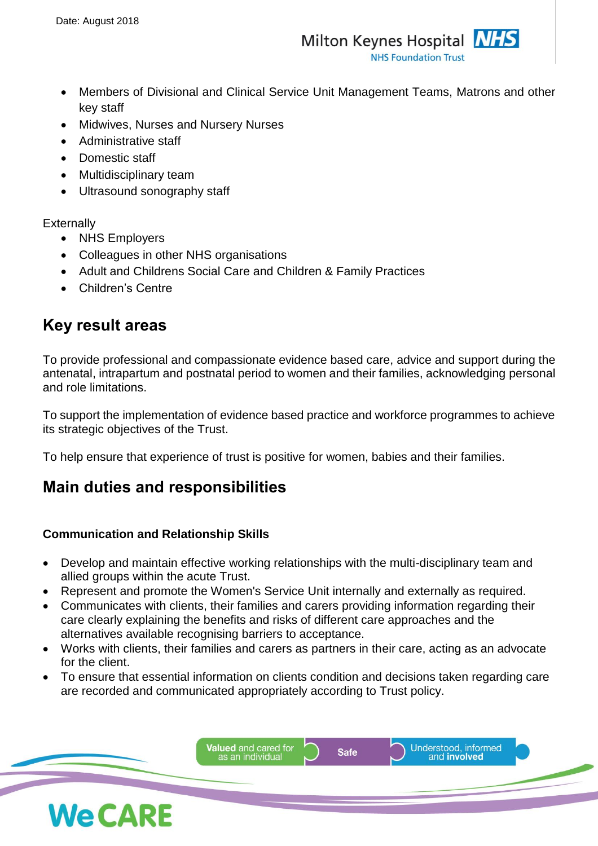- Members of Divisional and Clinical Service Unit Management Teams, Matrons and other key staff
- Midwives, Nurses and Nursery Nurses
- Administrative staff
- Domestic staff
- Multidisciplinary team
- Ultrasound sonography staff

### **Externally**

- NHS Employers
- Colleagues in other NHS organisations
- Adult and Childrens Social Care and Children & Family Practices
- Children's Centre

## **Key result areas**

To provide professional and compassionate evidence based care, advice and support during the antenatal, intrapartum and postnatal period to women and their families, acknowledging personal and role limitations.

To support the implementation of evidence based practice and workforce programmes to achieve its strategic objectives of the Trust.

To help ensure that experience of trust is positive for women, babies and their families.

# **Main duties and responsibilities**

### **Communication and Relationship Skills**

- Develop and maintain effective working relationships with the multi-disciplinary team and allied groups within the acute Trust.
- Represent and promote the Women's Service Unit internally and externally as required.
- Communicates with clients, their families and carers providing information regarding their care clearly explaining the benefits and risks of different care approaches and the alternatives available recognising barriers to acceptance.
- Works with clients, their families and carers as partners in their care, acting as an advocate for the client.
- To ensure that essential information on clients condition and decisions taken regarding care are recorded and communicated appropriately according to Trust policy.

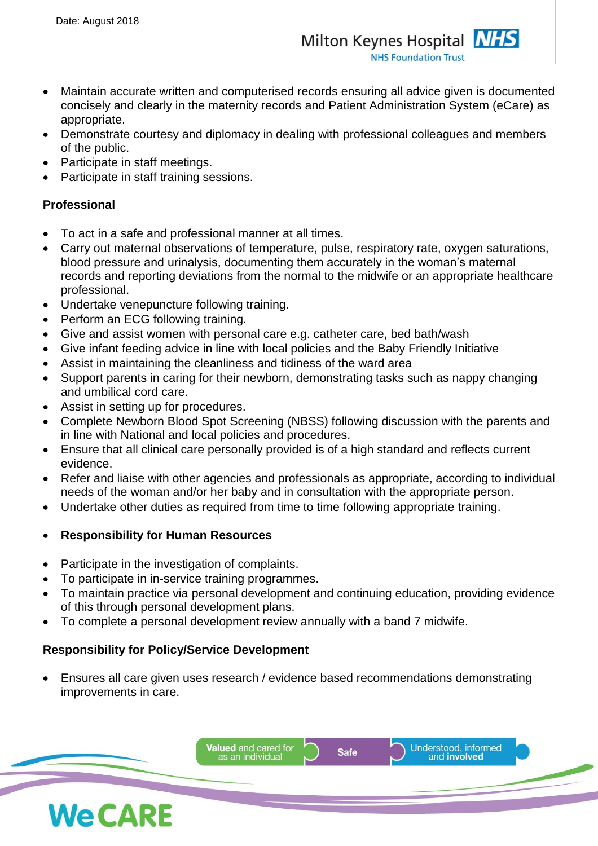- Maintain accurate written and computerised records ensuring all advice given is documented concisely and clearly in the maternity records and Patient Administration System (eCare) as appropriate.
- Demonstrate courtesy and diplomacy in dealing with professional colleagues and members of the public.
- Participate in staff meetings.
- Participate in staff training sessions.

### **Professional**

- To act in a safe and professional manner at all times.
- Carry out maternal observations of temperature, pulse, respiratory rate, oxygen saturations, blood pressure and urinalysis, documenting them accurately in the woman's maternal records and reporting deviations from the normal to the midwife or an appropriate healthcare professional.
- Undertake venepuncture following training.
- Perform an ECG following training.
- Give and assist women with personal care e.g. catheter care, bed bath/wash
- Give infant feeding advice in line with local policies and the Baby Friendly Initiative
- Assist in maintaining the cleanliness and tidiness of the ward area
- Support parents in caring for their newborn, demonstrating tasks such as nappy changing and umbilical cord care.
- Assist in setting up for procedures.
- Complete Newborn Blood Spot Screening (NBSS) following discussion with the parents and in line with National and local policies and procedures.
- Ensure that all clinical care personally provided is of a high standard and reflects current evidence.
- Refer and liaise with other agencies and professionals as appropriate, according to individual needs of the woman and/or her baby and in consultation with the appropriate person.
- Undertake other duties as required from time to time following appropriate training.

### • **Responsibility for Human Resources**

- Participate in the investigation of complaints.
- To participate in in-service training programmes.
- To maintain practice via personal development and continuing education, providing evidence of this through personal development plans.
- To complete a personal development review annually with a band 7 midwife.

### **Responsibility for Policy/Service Development**

• Ensures all care given uses research / evidence based recommendations demonstrating improvements in care.

![](_page_2_Picture_27.jpeg)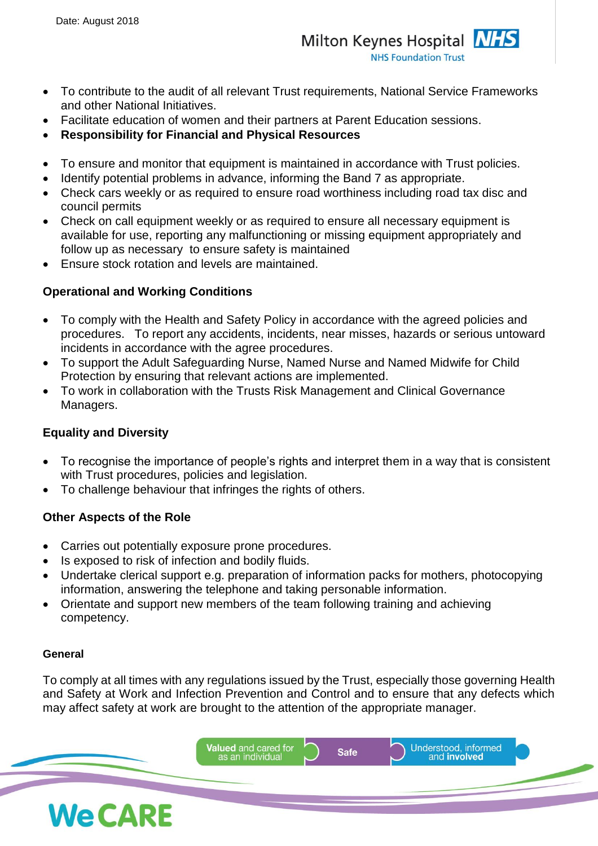- To contribute to the audit of all relevant Trust requirements, National Service Frameworks and other National Initiatives.
- Facilitate education of women and their partners at Parent Education sessions.
- **Responsibility for Financial and Physical Resources**
- To ensure and monitor that equipment is maintained in accordance with Trust policies.
- Identify potential problems in advance, informing the Band 7 as appropriate.
- Check cars weekly or as required to ensure road worthiness including road tax disc and council permits
- Check on call equipment weekly or as required to ensure all necessary equipment is available for use, reporting any malfunctioning or missing equipment appropriately and follow up as necessary to ensure safety is maintained
- Ensure stock rotation and levels are maintained.

### **Operational and Working Conditions**

- To comply with the Health and Safety Policy in accordance with the agreed policies and procedures. To report any accidents, incidents, near misses, hazards or serious untoward incidents in accordance with the agree procedures.
- To support the Adult Safeguarding Nurse, Named Nurse and Named Midwife for Child Protection by ensuring that relevant actions are implemented.
- To work in collaboration with the Trusts Risk Management and Clinical Governance Managers.

### **Equality and Diversity**

- To recognise the importance of people's rights and interpret them in a way that is consistent with Trust procedures, policies and legislation.
- To challenge behaviour that infringes the rights of others.

### **Other Aspects of the Role**

- Carries out potentially exposure prone procedures.
- Is exposed to risk of infection and bodily fluids.
- Undertake clerical support e.g. preparation of information packs for mothers, photocopying information, answering the telephone and taking personable information.
- Orientate and support new members of the team following training and achieving competency.

#### **General**

To comply at all times with any regulations issued by the Trust, especially those governing Health and Safety at Work and Infection Prevention and Control and to ensure that any defects which may affect safety at work are brought to the attention of the appropriate manager.

![](_page_3_Picture_24.jpeg)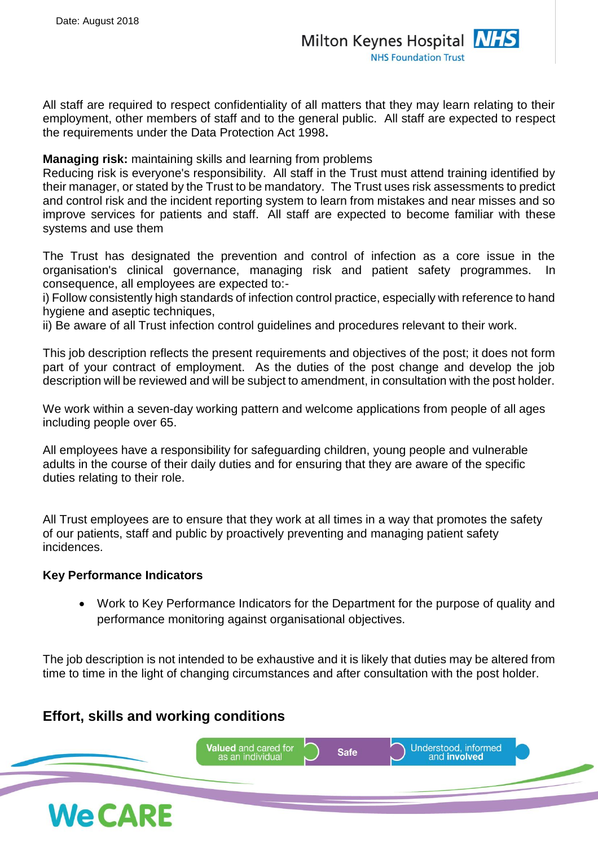All staff are required to respect confidentiality of all matters that they may learn relating to their employment, other members of staff and to the general public. All staff are expected to respect the requirements under the Data Protection Act 1998**.**

**Managing risk:** maintaining skills and learning from problems

Reducing risk is everyone's responsibility. All staff in the Trust must attend training identified by their manager, or stated by the Trust to be mandatory. The Trust uses risk assessments to predict and control risk and the incident reporting system to learn from mistakes and near misses and so improve services for patients and staff. All staff are expected to become familiar with these systems and use them

The Trust has designated the prevention and control of infection as a core issue in the organisation's clinical governance, managing risk and patient safety programmes. In consequence, all employees are expected to:-

i) Follow consistently high standards of infection control practice, especially with reference to hand hygiene and aseptic techniques,

ii) Be aware of all Trust infection control guidelines and procedures relevant to their work.

This job description reflects the present requirements and objectives of the post; it does not form part of your contract of employment. As the duties of the post change and develop the job description will be reviewed and will be subject to amendment, in consultation with the post holder.

We work within a seven-day working pattern and welcome applications from people of all ages including people over 65.

All employees have a responsibility for safeguarding children, young people and vulnerable adults in the course of their daily duties and for ensuring that they are aware of the specific duties relating to their role.

All Trust employees are to ensure that they work at all times in a way that promotes the safety of our patients, staff and public by proactively preventing and managing patient safety incidences.

### **Key Performance Indicators**

• Work to Key Performance Indicators for the Department for the purpose of quality and performance monitoring against organisational objectives.

The job description is not intended to be exhaustive and it is likely that duties may be altered from time to time in the light of changing circumstances and after consultation with the post holder.

### **Effort, skills and working conditions**

![](_page_4_Picture_16.jpeg)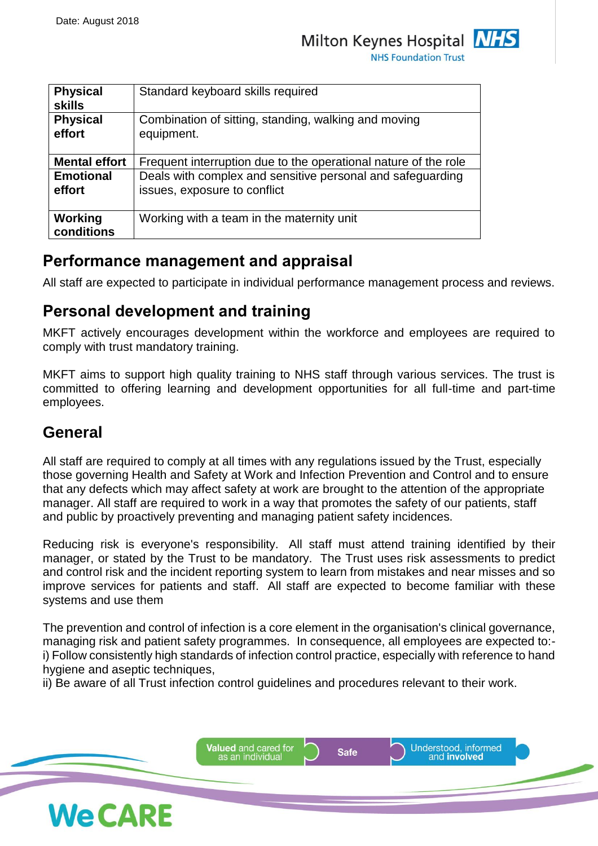**NHS Foundation Trust** 

| <b>Physical</b><br><b>skills</b> | Standard keyboard skills required                                                          |
|----------------------------------|--------------------------------------------------------------------------------------------|
| <b>Physical</b><br>effort        | Combination of sitting, standing, walking and moving<br>equipment.                         |
| <b>Mental effort</b>             | Frequent interruption due to the operational nature of the role                            |
| <b>Emotional</b><br>effort       | Deals with complex and sensitive personal and safeguarding<br>issues, exposure to conflict |
| Working<br>conditions            | Working with a team in the maternity unit                                                  |

## **Performance management and appraisal**

All staff are expected to participate in individual performance management process and reviews.

## **Personal development and training**

MKFT actively encourages development within the workforce and employees are required to comply with trust mandatory training.

MKFT aims to support high quality training to NHS staff through various services. The trust is committed to offering learning and development opportunities for all full-time and part-time employees.

## **General**

All staff are required to comply at all times with any regulations issued by the Trust, especially those governing Health and Safety at Work and Infection Prevention and Control and to ensure that any defects which may affect safety at work are brought to the attention of the appropriate manager. All staff are required to work in a way that promotes the safety of our patients, staff and public by proactively preventing and managing patient safety incidences.

Reducing risk is everyone's responsibility. All staff must attend training identified by their manager, or stated by the Trust to be mandatory. The Trust uses risk assessments to predict and control risk and the incident reporting system to learn from mistakes and near misses and so improve services for patients and staff. All staff are expected to become familiar with these systems and use them

The prevention and control of infection is a core element in the organisation's clinical governance, managing risk and patient safety programmes. In consequence, all employees are expected to: i) Follow consistently high standards of infection control practice, especially with reference to hand hygiene and aseptic techniques,

ii) Be aware of all Trust infection control guidelines and procedures relevant to their work.

![](_page_5_Picture_15.jpeg)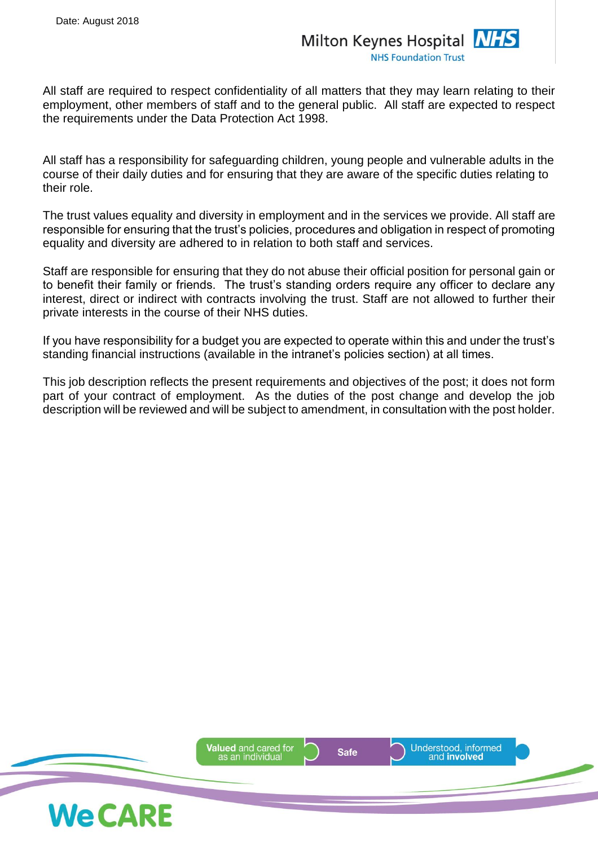All staff are required to respect confidentiality of all matters that they may learn relating to their employment, other members of staff and to the general public. All staff are expected to respect the requirements under the Data Protection Act 1998.

All staff has a responsibility for safeguarding children, young people and vulnerable adults in the course of their daily duties and for ensuring that they are aware of the specific duties relating to their role.

The trust values equality and diversity in employment and in the services we provide. All staff are responsible for ensuring that the trust's policies, procedures and obligation in respect of promoting equality and diversity are adhered to in relation to both staff and services.

Staff are responsible for ensuring that they do not abuse their official position for personal gain or to benefit their family or friends. The trust's standing orders require any officer to declare any interest, direct or indirect with contracts involving the trust. Staff are not allowed to further their private interests in the course of their NHS duties.

If you have responsibility for a budget you are expected to operate within this and under the trust's standing financial instructions (available in the intranet's policies section) at all times.

This job description reflects the present requirements and objectives of the post; it does not form part of your contract of employment. As the duties of the post change and develop the job description will be reviewed and will be subject to amendment, in consultation with the post holder.

![](_page_6_Picture_8.jpeg)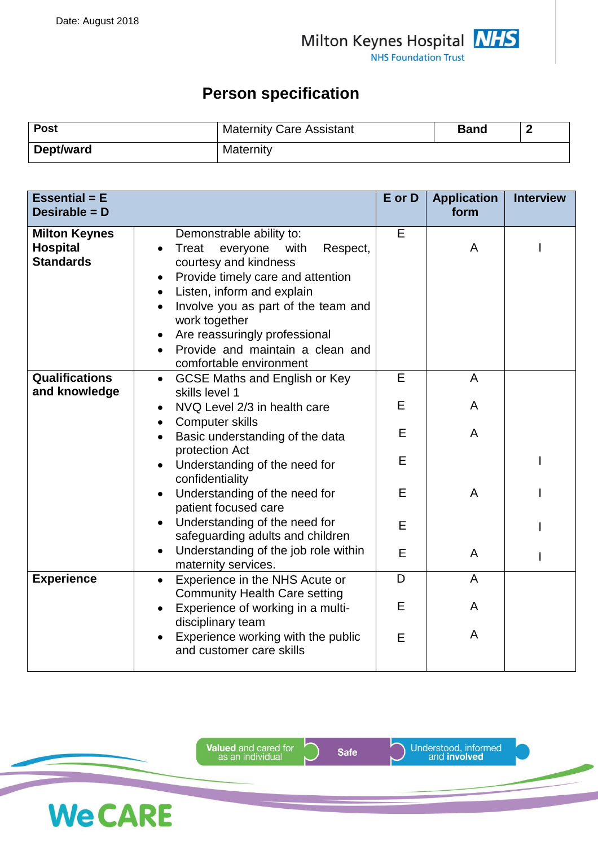### **Person specification**

| <b>Post</b> | <b>Maternity Care Assistant</b> | Band |  |
|-------------|---------------------------------|------|--|
| Dept/ward   | Maternity                       |      |  |

| <b>Essential = E</b><br>Desirable = D                       |                                                                                                                                                                                                                                                                                                                                    | E or D | <b>Application</b><br>form | <b>Interview</b> |
|-------------------------------------------------------------|------------------------------------------------------------------------------------------------------------------------------------------------------------------------------------------------------------------------------------------------------------------------------------------------------------------------------------|--------|----------------------------|------------------|
| <b>Milton Keynes</b><br><b>Hospital</b><br><b>Standards</b> | Demonstrable ability to:<br>Treat<br>everyone<br>Respect,<br>with<br>courtesy and kindness<br>Provide timely care and attention<br>Listen, inform and explain<br>$\bullet$<br>Involve you as part of the team and<br>work together<br>Are reassuringly professional<br>Provide and maintain a clean and<br>comfortable environment | E      | A                          |                  |
| <b>Qualifications</b><br>and knowledge                      | <b>GCSE Maths and English or Key</b><br>$\bullet$<br>skills level 1                                                                                                                                                                                                                                                                | E      | A                          |                  |
|                                                             | NVQ Level 2/3 in health care                                                                                                                                                                                                                                                                                                       | E      | A                          |                  |
|                                                             | <b>Computer skills</b><br>$\bullet$<br>Basic understanding of the data                                                                                                                                                                                                                                                             | E      | A                          |                  |
|                                                             | protection Act<br>Understanding of the need for<br>confidentiality                                                                                                                                                                                                                                                                 | E      |                            |                  |
|                                                             | Understanding of the need for<br>patient focused care                                                                                                                                                                                                                                                                              | E      | A                          |                  |
|                                                             | Understanding of the need for<br>safeguarding adults and children                                                                                                                                                                                                                                                                  | E      |                            |                  |
|                                                             | Understanding of the job role within<br>maternity services.                                                                                                                                                                                                                                                                        | E      | A                          |                  |
| <b>Experience</b>                                           | Experience in the NHS Acute or<br>$\bullet$<br><b>Community Health Care setting</b>                                                                                                                                                                                                                                                | D      | A                          |                  |
|                                                             | Experience of working in a multi-<br>disciplinary team                                                                                                                                                                                                                                                                             | E      | A                          |                  |
|                                                             | Experience working with the public<br>and customer care skills                                                                                                                                                                                                                                                                     | E      | A                          |                  |

**Valued** and cared for<br>as an individual

**We CARE** 

**Safe** 

Understood, informed<br>and **involved**